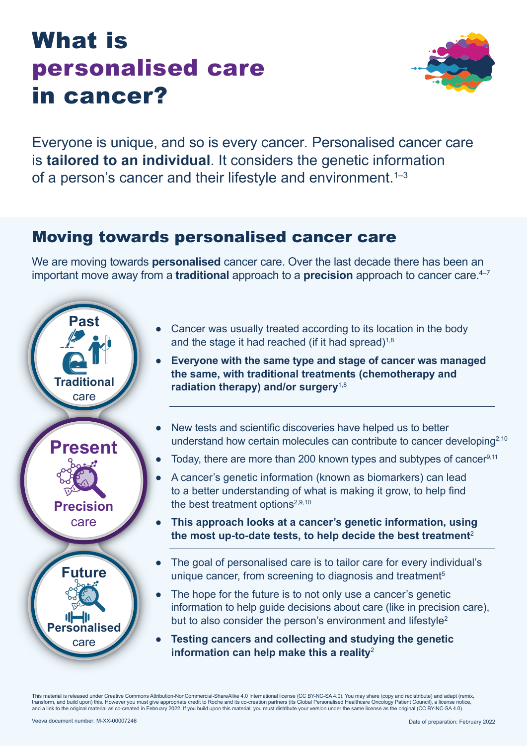# What is personalised care in cancer?



Everyone is unique, and so is every cancer*.* Personalised cancer care is **tailored to an individual**. It considers the genetic information of a person's cancer and their lifestyle and environment.<sup>1-3</sup>

### Moving towards personalised cancer care

We are moving towards **personalised** cancer care. Over the last decade there has been an important move away from a **traditional** approach to a **precision** approach to cancer care.<sup>4-7</sup>



- Cancer was usually treated according to its location in the body and the stage it had reached (if it had spread) $1,8$
- **Everyone with the same type and stage of cancer was managed the same, with traditional treatments (chemotherapy and radiation therapy) and/or surgery**1,8
- New tests and scientific discoveries have helped us to better understand how certain molecules can contribute to cancer developing<sup>2,10</sup>
- Today, there are more than 200 known types and subtypes of cancer $9,11$
- A cancer's genetic information (known as biomarkers) can lead to a better understanding of what is making it grow, to help find the best treatment options<sup>2,9,10</sup>
- **This approach looks at a cancer's genetic information, using the most up-to-date tests, to help decide the best treatment**<sup>2</sup>
- The goal of personalised care is to tailor care for every individual's unique cancer, from screening to diagnosis and treatment<sup>5</sup>
- The hope for the future is to not only use a cancer's genetic information to help guide decisions about care (like in precision care), but to also consider the person's environment and lifestyle<sup>2</sup>
- **Testing cancers and collecting and studying the genetic information can help make this a reality**<sup>2</sup>

This material is released under Creative Commons Attribution-NonCommercial-ShareAlike 4.0 International license (CC BY-NC-SA 4.0). You may share (copy and redistribute) and adapt (remix, transform, and build upon) this. However you must give appropriate credit to Roche and its co-creation partners (its Global Personalised Healthcare Oncology Patient Council), a license notice, and a link to the original material as co-created in February 2022. If you build upon this material, you must distribute your version under the same license as the original (CC BY-NC-SA 4.0).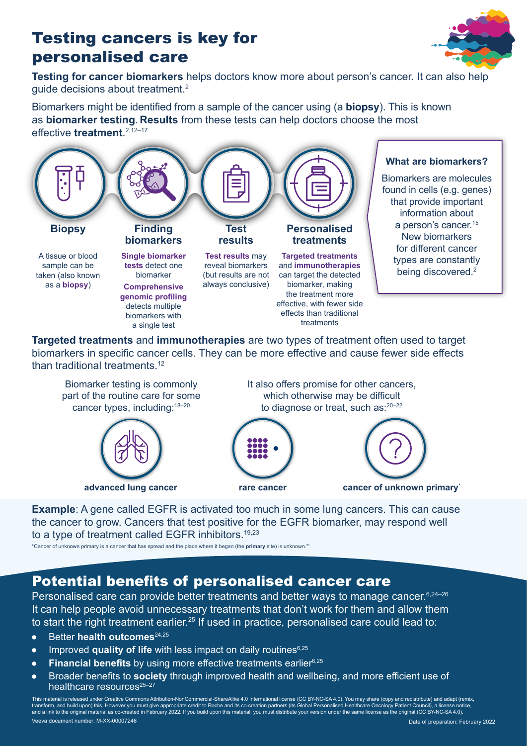## Testing cancers is key for personalised care



**Testing for cancer biomarkers** helps doctors know more about person's cancer. It can also help quide decisions about treatment.<sup>2</sup>

Biomarkers might be identified from a sample of the cancer using (a **biopsy**). This is known as **biomarker testing**. **Results** from these tests can help doctors choose the most effective **treatment**. 2,12–17



**Targeted treatments** and **immunotherapies** are two types of treatment often used to target biomarkers in specific cancer cells. They can be more effective and cause fewer side effects than traditional treatments.<sup>12</sup>



**Example**: A gene called EGFR is activated too much in some lung cancers. This can cause the cancer to grow. Cancers that test positive for the EGFR biomarker, may respond well to a type of treatment called EGFR inhibitors.<sup>19,23</sup>

\*Cancer of unknown primary is a cancer that has spread and the place where it began (the **primary** site) is unknown.21

#### Potential benefits of personalised cancer care

Personalised care can provide better treatments and better ways to manage cancer. 6,24-26 It can help people avoid unnecessary treatments that don't work for them and allow them to start the right treatment earlier.<sup>25</sup> If used in practice, personalised care could lead to:

- Better **health outcomes**24,25
- Improved **quality of life** with less impact on daily routines<sup>6,25</sup>
- **Financial benefits** by using more effective treatments earlier<sup>6,25</sup>
- Broader benefits to **society** through improved health and wellbeing, and more efficient use of healthcare resources<sup>25-27</sup>

Veeva document number: M-XX-00007246 Date of preparation: February 2022 This material is released under Creative Commons Attribution-NonCommercial-ShareAlike 4.0 International license (CC BY-NC-SA 4.0). You may share (copy and redistribute) and adapt (remix, transform, and build upon) this. However you must give appropriate credit to Roche and its co-creation partners (its Global Personalised Healthcare Oncology Patient Council), a license notice,<br>and a link to the original ma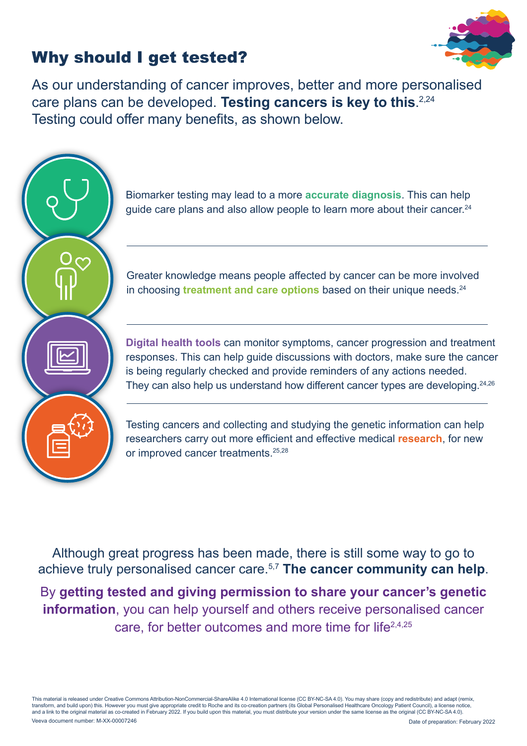## Why should I get tested?



As our understanding of cancer improves, better and more personalised care plans can be developed. **Testing cancers is key to this**. 2,24 Testing could offer many benefits, as shown below.



Biomarker testing may lead to a more **accurate diagnosis**. This can help guide care plans and also allow people to learn more about their cancer.<sup>24</sup>

Greater knowledge means people affected by cancer can be more involved in choosing **treatment and care options** based on their unique needs.<sup>24</sup>

**Digital health tools** can monitor symptoms, cancer progression and treatment responses. This can help guide discussions with doctors, make sure the cancer is being regularly checked and provide reminders of any actions needed. They can also help us understand how different cancer types are developing.<sup>24,26</sup>

Testing cancers and collecting and studying the genetic information can help researchers carry out more efficient and effective medical **research**, for new or improved cancer treatments.<sup>25,28</sup>

Although great progress has been made, there is still some way to go to achieve truly personalised cancer care.5,7 **The cancer community can help**.

By **getting tested and giving permission to share your cancer's genetic information**, you can help yourself and others receive personalised cancer care, for better outcomes and more time for life2,4,25

Veeva document number: M-XX-00007246 Date of preparation: February 2022 This material is released under Creative Commons Attribution-NonCommercial-ShareAlike 4.0 International license (CC BY-NC-SA 4.0). You may share (copy and redistribute) and adapt (remix, transform, and build upon) this. However you must give appropriate credit to Roche and its co-creation partners (its Global Personalised Healthcare Oncology Patient Council), a license notice,<br>and a link to the original ma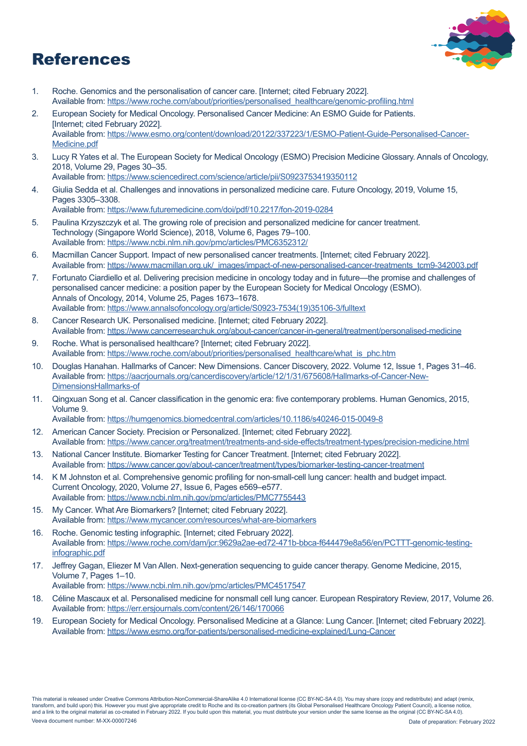## References



- 1. Roche. Genomics and the personalisation of cancer care. [Internet; cited February 2022]. Available from: [https://www.roche.com/about/priorities/personalised\\_healthcare/genomic-profiling.html](https://www.roche.com/about/priorities/personalised_healthcare/genomic-profiling.html) 2. European Society for Medical Oncology. Personalised Cancer Medicine: An ESMO Guide for Patients. [Internet; cited February 2022]. Available from: [https://www.esmo.org/content/download/20122/337223/1/ESMO-Patient-Guide-Personalised-Cancer-](https://www.esmo.org/content/download/20122/337223/1/ESMO-Patient-Guide-Personalised-Cancer-Medicine)[Medicine.pdf](https://www.esmo.org/content/download/20122/337223/1/ESMO-Patient-Guide-Personalised-Cancer-Medicine)
- 3. Lucy R Yates et al. The European Society for Medical Oncology (ESMO) Precision Medicine Glossary. Annals of Oncology, 2018, Volume 29, Pages 30–35. Available from:<https://www.sciencedirect.com/science/article/pii/S0923753419350112>
- 4. Giulia Sedda et al. Challenges and innovations in personalized medicine care. Future Oncology, 2019, Volume 15, Pages 3305–3308.

Available from:<https://www.futuremedicine.com/doi/pdf/10.2217/fon-2019-0284>

- 5. Paulina Krzyszczyk et al. The growing role of precision and personalized medicine for cancer treatment. Technology (Singapore World Science), 2018, Volume 6, Pages 79–100. Available from:<https://www.ncbi.nlm.nih.gov/pmc/articles/PMC6352312/>
- 6. Macmillan Cancer Support. Impact of new personalised cancer treatments. [Internet; cited February 2022]. Available from: [https://www.macmillan.org.uk/\\_images/impact-of-new-personalised-cancer-treatments\\_tcm9-342003.pdf](https://www.macmillan.org.uk/_images/impact-of-new-personalised-cancer-treatments_tcm9-342003.pdf)
- 7. Fortunato Ciardiello et al. Delivering precision medicine in oncology today and in future—the promise and challenges of personalised cancer medicine: a position paper by the European Society for Medical Oncology (ESMO). Annals of Oncology, 2014, Volume 25, Pages 1673–1678. Available from: [https://www.annalsofoncology.org/article/S0923-7534\(19\)35106-3/fulltext](https://www.annalsofoncology.org/article/S0923-7534(19)35106-3/fulltext)
- 8. Cancer Research UK. Personalised medicine. [Internet; cited February 2022]. Available from:<https://www.cancerresearchuk.org/about-cancer/cancer-in-general/treatment/personalised-medicine>
- 9. Roche. What is personalised healthcare? [Internet; cited February 2022]. Available from: [https://www.roche.com/about/priorities/personalised\\_healthcare/what\\_is\\_phc.htm](https://www.roche.com/about/priorities/personalised_healthcare/what_is_phc.htm)
- 10. Douglas Hanahan. Hallmarks of Cancer: New Dimensions. Cancer Discovery, 2022. Volume 12, Issue 1, Pages 31–46. Available from: [https://aacrjournals.org/cancerdiscovery/article/12/1/31/675608/Hallmarks-of-Cancer-New-](https://aacrjournals.org/cancerdiscovery/article/12/1/31/675608/Hallmarks-of-Cancer-New-DimensionsHallmarks-of)[DimensionsHallmarks-of](https://aacrjournals.org/cancerdiscovery/article/12/1/31/675608/Hallmarks-of-Cancer-New-DimensionsHallmarks-of)
- 11. Qingxuan Song et al. Cancer classification in the genomic era: five contemporary problems. Human Genomics, 2015, Volume 9.

Available from:<https://humgenomics.biomedcentral.com/articles/10.1186/s40246-015-0049-8>

- 12. American Cancer Society. Precision or Personalized. [Internet; cited February 2022]. Available from: <https://www.cancer.org/treatment/treatments-and-side-effects/treatment-types/precision-medicine.html>
- 13. National Cancer Institute. Biomarker Testing for Cancer Treatment. [Internet; cited February 2022]. Available from:<https://www.cancer.gov/about-cancer/treatment/types/biomarker-testing-cancer-treatment>
- 14. K M Johnston et al. Comprehensive genomic profiling for non-small-cell lung cancer: health and budget impact. Current Oncology, 2020, Volume 27, Issue 6, Pages e569–e577. Available from:<https://www.ncbi.nlm.nih.gov/pmc/articles/PMC7755443>
- 15. My Cancer. What Are Biomarkers? [Internet; cited February 2022]. Available from:<https://www.mycancer.com/resources/what-are-biomarkers>
- 16. Roche. Genomic testing infographic. [Internet; cited February 2022]. Available from: [https://www.roche.com/dam/jcr:9629a2ae-ed72-471b-bbca-f644479e8a56/en/PCTTT-genomic-testing](https://www.roche.com/dam/jcr:9629a2ae-ed72-471b-bbca-f644479e8a56/en/PCTTT-genomic-testing-infographic.pdf)[infographic.pdf](https://www.roche.com/dam/jcr:9629a2ae-ed72-471b-bbca-f644479e8a56/en/PCTTT-genomic-testing-infographic.pdf)
- 17. Jeffrey Gagan, Eliezer M Van Allen. Next-generation sequencing to guide cancer therapy. Genome Medicine, 2015, Volume 7, Pages 1–10.

Available from:<https://www.ncbi.nlm.nih.gov/pmc/articles/PMC4517547>

- 18. Céline Mascaux et al. Personalised medicine for nonsmall cell lung cancer. European Respiratory Review, 2017, Volume 26. Available from:<https://err.ersjournals.com/content/26/146/170066>
- 19. European Society for Medical Oncology. Personalised Medicine at a Glance: Lung Cancer. [Internet; cited February 2022]. Available from: https://www.esmo.org/for-patients/personalised-medicine-explained/Lung-Cancer

Veeva document number: M-XX-00007246 Date of preparation: February 2022 This material is released under Creative Commons Attribution-NonCommercial-ShareAlike 4.0 International license (CC BY-NC-SA 4.0). You may share (copy and redistribute) and adapt (remix, transform, and build upon) this. However you must give appropriate credit to Roche and its co-creation partners (its Global Personalised Healthcare Oncology Patient Council), a license notice,<br>and a link to the original ma